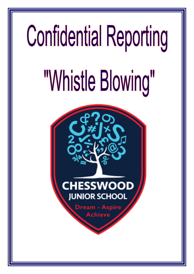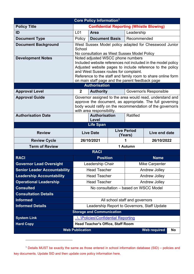|                                     |                                                                                                                                                                                                                                                                                                                           | Core Policy Information <sup>1</sup>     |  |                                |                                                                                                                                                                                   |  |
|-------------------------------------|---------------------------------------------------------------------------------------------------------------------------------------------------------------------------------------------------------------------------------------------------------------------------------------------------------------------------|------------------------------------------|--|--------------------------------|-----------------------------------------------------------------------------------------------------------------------------------------------------------------------------------|--|
| <b>Policy Title</b>                 | <b>Confidential Reporting (Whistle Blowing)</b>                                                                                                                                                                                                                                                                           |                                          |  |                                |                                                                                                                                                                                   |  |
| ID                                  | L <sub>01</sub>                                                                                                                                                                                                                                                                                                           | <b>Area</b>                              |  | Leadership                     |                                                                                                                                                                                   |  |
| <b>Document Type</b>                | Policy                                                                                                                                                                                                                                                                                                                    | <b>Document Basis</b>                    |  | Recommended                    |                                                                                                                                                                                   |  |
| <b>Document Background</b>          | West Sussex Model policy adapted for Chesswood Junior<br>School<br>No consultation as West Sussex Model Policy                                                                                                                                                                                                            |                                          |  |                                |                                                                                                                                                                                   |  |
| <b>Development Notes</b>            | Noted adjusted WSCC phone numbers<br>Included website references not included in the model policy<br>Adjusted website pages to include reference to the policy<br>and West Sussex routes for complaint.<br>Reference to the staff and family room to share online form<br>on main staff page and the parent feedback page |                                          |  |                                |                                                                                                                                                                                   |  |
|                                     |                                                                                                                                                                                                                                                                                                                           | <b>Authorisation</b>                     |  |                                |                                                                                                                                                                                   |  |
| <b>Approval Level</b>               | $\overline{2}$                                                                                                                                                                                                                                                                                                            | <b>Authority</b>                         |  |                                | Governor/s Responsible                                                                                                                                                            |  |
| <b>Approval Guide</b>               |                                                                                                                                                                                                                                                                                                                           | with area responsibility.                |  |                                | Governor assigned to the area would read, understand and<br>approve the document, as appropriate. The full governing<br>body would ratify on the recommendation of the governor/s |  |
| <b>Authorisation Date</b>           |                                                                                                                                                                                                                                                                                                                           | <b>Authorisation</b><br>Level            |  | <b>Ratified</b>                |                                                                                                                                                                                   |  |
|                                     |                                                                                                                                                                                                                                                                                                                           | <b>Life Span</b>                         |  |                                |                                                                                                                                                                                   |  |
|                                     |                                                                                                                                                                                                                                                                                                                           |                                          |  |                                |                                                                                                                                                                                   |  |
| <b>Review</b>                       |                                                                                                                                                                                                                                                                                                                           | <b>Live Date</b>                         |  | <b>Live Period</b><br>(Years)  | Live end date                                                                                                                                                                     |  |
| <b>Review Cycle</b>                 |                                                                                                                                                                                                                                                                                                                           | 26/10/2021                               |  | 1                              | 26/10/2022                                                                                                                                                                        |  |
| <b>Term of Review</b>               |                                                                                                                                                                                                                                                                                                                           |                                          |  | 1 Autumn                       |                                                                                                                                                                                   |  |
|                                     |                                                                                                                                                                                                                                                                                                                           | <b>RACI</b>                              |  |                                |                                                                                                                                                                                   |  |
| <b>RACI</b>                         |                                                                                                                                                                                                                                                                                                                           | <b>Position</b>                          |  |                                | <b>Name</b>                                                                                                                                                                       |  |
| <b>Governor Lead Oversight</b>      |                                                                                                                                                                                                                                                                                                                           | Leadership Chair                         |  |                                | Mike Carpenter                                                                                                                                                                    |  |
| <b>Senior Leader Accountability</b> |                                                                                                                                                                                                                                                                                                                           | <b>Head Teacher</b>                      |  |                                | Andrew Jolley                                                                                                                                                                     |  |
| <b>Leadership Accountability</b>    |                                                                                                                                                                                                                                                                                                                           | <b>Head Teacher</b>                      |  |                                | Andrew Jolley                                                                                                                                                                     |  |
| <b>Operational Leadership</b>       |                                                                                                                                                                                                                                                                                                                           | <b>Head Teacher</b>                      |  |                                | Andrew Jolley                                                                                                                                                                     |  |
| <b>Consulted</b>                    |                                                                                                                                                                                                                                                                                                                           |                                          |  |                                | No consultation - based on WSCC Model                                                                                                                                             |  |
| <b>Consultation Details</b>         |                                                                                                                                                                                                                                                                                                                           |                                          |  |                                |                                                                                                                                                                                   |  |
| <b>Informed</b>                     |                                                                                                                                                                                                                                                                                                                           |                                          |  | All school staff and governors |                                                                                                                                                                                   |  |
| <b>Informed Details</b>             |                                                                                                                                                                                                                                                                                                                           |                                          |  |                                | Leadership Report to Governors, Staff Update                                                                                                                                      |  |
|                                     |                                                                                                                                                                                                                                                                                                                           | <b>Storage and Communication</b>         |  |                                |                                                                                                                                                                                   |  |
| <b>System Link</b>                  |                                                                                                                                                                                                                                                                                                                           | \\Policies\Confidential Reporting        |  |                                |                                                                                                                                                                                   |  |
| <b>Hard Copy</b>                    |                                                                                                                                                                                                                                                                                                                           | <b>Head Teacher's Office, Staff Room</b> |  |                                |                                                                                                                                                                                   |  |

<sup>1</sup> Details MUST be exactly the same as those entered in school information database (SID) – policies and key documents. Update SID and then update core policy information here.

<u> 1989 - Johann Barnett, mars et al. 1989 - Johann Barnett, mars et al. 1989 - Johann Barnett, mars et al. 198</u>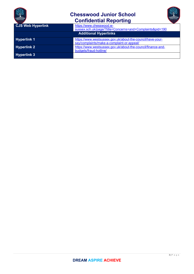

| JUNIOR SCHOOL            | <b>Confidential Reporting</b>                                |
|--------------------------|--------------------------------------------------------------|
| <b>CJS Web Hyperlink</b> | https://www.chesswood.w-                                     |
|                          | sussex.sch.uk/page/?title=Concerns+and+Complaints&pid=190    |
|                          | <b>Additional Hyperlinks</b>                                 |
| <b>Hyperlink 1</b>       | https://www.westsussex.gov.uk/about-the-council/have-your-   |
|                          | say/complaints/make-a-complaint-or-appeal/                   |
| <b>Hyperlink 2</b>       | https://www.westsussex.gov.uk/about-the-council/finance-and- |
|                          | budgets/fraud-hotline/                                       |
| <b>Hyperlink 3</b>       |                                                              |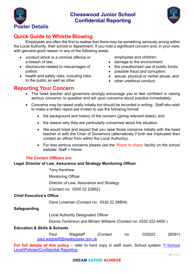



## **Quick Guide to Whistle Blowing**

Employees are often the first to realise that there may be something seriously wrong within the Local Authority, their school or department. If you hold a significant concern and, in your view, with genuine good reason in any of the following areas:

- conduct which is a criminal offence or a breach of law;
- disclosures related to miscarriages of justice:
- health and safety risks, including risks to the public as well as other

employees and children;

- damage to the environment;
- the unauthorised use of public funds:
- possible fraud and corruption;
- sexual, physical or verbal abuse; and
- other unethical conduct.

#### **Reporting Your Concern**

- The head teacher and governors strongly encourage you to feel confident in raising serious concerns; to question and act upon concerns about practice immediately;
- Concerns may be raised orally initially but should be recorded in writing. Staff who wish to make a written report are invited to use the following format:
	- the background and history of the concern (giving relevant dates); and
	- the reason why they are particularly concerned about the situation.
	- We would hope and expect that you raise those concerns initially with the head teacher or with the Chair of Governors (alternatively if both are implicated then contact an officer from within the Local Authority).
	- For less serious concerns please use the 'Room to share' facility on the school website: Staff > Home

#### *The Contact Officers are:*

#### **Legal Director of Law, Assurance and Strategy Monitoring Officer**

Tony Kershaw Monitoring Officer Director of Law, Assurance and Strategy

(Contact no: 0330 22 22662)

#### **Chief Executive's Office**

Dave Loveman (Contact no: 0330 22 28804)

#### **Safeguarding**

Local Authority Designated Officer

Donna Tomlinson and Miriam Williams (Contact no: 0330 222 6450 )

#### **Education & Skills & Schools**

Paul Wagstaff (Contact no: 033022 26591) paul.wagstaff@westsussex.gov.uk

**For full details of this policy** – refer to hard copy in staff room. School system: Y:\School Level\Policies\Confidential Reporting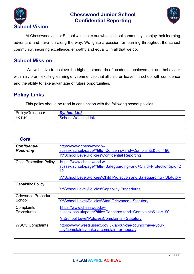



At Chesswood Junior School we inspire our whole school community to enjoy their learning adventure and have fun along the way. We ignite a passion for learning throughout the school community, securing excellence, empathy and equality in all that we do.

### **School Mission**

 We will strive to achieve the highest standards of academic achievement and behaviour within a vibrant, exciting learning environment so that all children leave this school with confidence and the ability to take advantage of future opportunities.

## **Policy Links**

This policy should be read in conjunction with the following school policies

| Policy/Guidance/ | <b>System Link</b>         |
|------------------|----------------------------|
| Poster           | <b>School Website Link</b> |
|                  |                            |
|                  |                            |

#### *Core*

| <b>Confidential</b><br><b>Reporting</b> | https://www.chesswood.w-<br>sussex.sch.uk/page/?title=Concerns+and+Complaints&pid=190                      |
|-----------------------------------------|------------------------------------------------------------------------------------------------------------|
|                                         | Y:\School Level\Policies\Confidential Reporting                                                            |
| <b>Child Protection Policy</b>          | https://www.chesswood.w-<br>sussex.sch.uk/page/?title=Safeguarding+and+Child+Protection&pid=2<br><u>12</u> |
|                                         | Y:\School Level\Policies\Child Protection and Safeguarding - Statutory                                     |
| <b>Capability Policy</b>                |                                                                                                            |
|                                         | Y:\School Level\Policies\Capability Procedures                                                             |
| <b>Grievance Procedures</b>             |                                                                                                            |
| School                                  | Y:\School Level\Policies\Staff Grievance - Statutory                                                       |
| Complaints                              | https://www.chesswood.w-                                                                                   |
| Procedures                              | sussex.sch.uk/page/?title=Concerns+and+Complaints&pid=190                                                  |
|                                         | Y:\School Level\Policies\Complaints - Statutory                                                            |
| <b>WSCC Complaints</b>                  | https://www.westsussex.gov.uk/about-the-council/have-your-<br>say/complaints/make-a-complaint-or-appeal/   |
|                                         |                                                                                                            |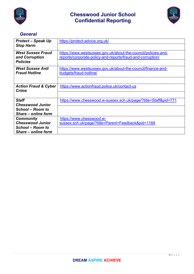



#### *General*

| <b>Protect – Speak Up</b>       | https://protect-advice.org.uk/                                  |
|---------------------------------|-----------------------------------------------------------------|
| <b>Stop Harm</b>                |                                                                 |
| <b>West Sussex Fraud</b>        | https://www.westsussex.gov.uk/about-the-council/policies-and-   |
| and Corruption                  | reports/corporate-policy-and-reports/fraud-and-corruption/      |
| <b>Policies</b>                 |                                                                 |
| <b>West Sussex Anti</b>         | https://www.westsussex.gov.uk/about-the-council/finance-and-    |
| <b>Fraud Hotline</b>            | budgets/fraud-hotline/                                          |
|                                 |                                                                 |
| <b>Action Fraud &amp; Cyber</b> | https://www.actionfraud.police.uk/contact-us                    |
| <b>Crime</b>                    |                                                                 |
|                                 |                                                                 |
| <b>Staff</b>                    | https://www.chesswood.w-sussex.sch.uk/page/?title=Staff&pid=771 |
| <b>Chesswood Junior</b>         |                                                                 |
| School – Room to                |                                                                 |
| Share – online form             |                                                                 |
| <b>Community</b>                | https://www.chesswood.w-                                        |
| <b>Chesswood Junior</b>         | sussex.sch.uk/page/?title=Parent+Feedback&pid=1168              |
| <b>School - Room to</b>         |                                                                 |
| Share – online form             |                                                                 |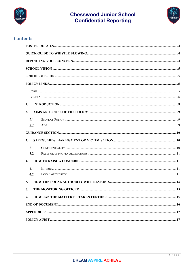



#### **Contents**

| 1.               |     |
|------------------|-----|
| 2.               |     |
| 2.1.             |     |
| 2.2.             |     |
|                  |     |
| 3.               |     |
| 3.1.             |     |
| 3.2.             |     |
| $\overline{4}$ . |     |
| 4.1.             |     |
| 4.2.             |     |
| 5.               |     |
| 6.               | .15 |
| 7.               |     |
|                  |     |
|                  |     |
|                  |     |
|                  |     |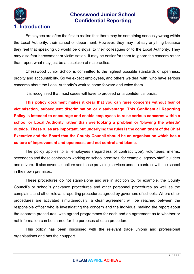



Employees are often the first to realise that there may be something seriously wrong within the Local Authority, their school or department. However, they may not say anything because they feel that speaking up would be disloyal to their colleagues or to the Local Authority. They may also fear harassment or victimisation. It may be easier for them to ignore the concern rather than report what may just be a suspicion of malpractice.

Chesswood Junior School is committed to the highest possible standards of openness, probity and accountability. So we expect employees, and others we deal with, who have serious concerns about the Local Authority's work to come forward and voice them.

It is recognised that most cases will have to proceed on a confidential basis.

**This policy document makes it clear that you can raise concerns without fear of victimisation, subsequent discrimination or disadvantage. This Confidential Reporting Policy is intended to encourage and enable employees to raise serious concerns within a school or Local Authority rather than overlooking a problem or 'blowing the whistle' outside. These rules are important, but underlying the rules is the commitment of the Chief Executive and the Board that the County Council should be an organisation which has a culture of improvement and openness, and not control and blame.** 

The policy applies to all employees (regardless of contract type), volunteers, interns, secondees and those contractors working on school premises, for example, agency staff, builders and drivers. It also covers suppliers and those providing services under a contract with the school in their own premises.

These procedures do not stand-alone and are in addition to, for example, the County Council's or school's grievance procedures and other personnel procedures as well as the complaints and other relevant reporting procedures agreed by governors of schools. Where other procedures are activated simultaneously, a clear agreement will be reached between the responsible officer who is investigating the concern and the individual making the report about the separate procedures, with agreed programmes for each and an agreement as to whether or not information can be shared for the purposes of each procedure.

This policy has been discussed with the relevant trade unions and professional organisations and has their support.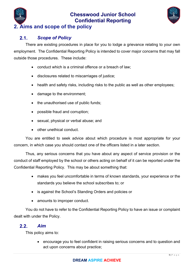



#### $2.1.$ *Scope of Policy*

There are existing procedures in place for you to lodge a grievance relating to your own employment. The Confidential Reporting Policy is intended to cover major concerns that may fall outside those procedures. These include:

- conduct which is a criminal offence or a breach of law;
- disclosures related to miscarriages of justice;
- health and safety risks, including risks to the public as well as other employees;
- damage to the environment;
- the unauthorised use of public funds;
- possible fraud and corruption;
- sexual, physical or verbal abuse; and
- other unethical conduct.

You are entitled to seek advice about which procedure is most appropriate for your concern, in which case you should contact one of the officers listed in a later section.

Thus, any serious concerns that you have about any aspect of service provision or the conduct of staff employed by the school or others acting on behalf of it can be reported under the Confidential Reporting Policy. This may be about something that:

- makes you feel uncomfortable in terms of known standards, your experience or the standards you believe the school subscribes to; or
- is against the School's Standing Orders and policies or
- amounts to improper conduct.

You do not have to refer to the Confidential Reporting Policy to have an issue or complaint dealt with under the Policy.

#### $2.2.$ *Aim*

This policy aims to:

 encourage you to feel confident in raising serious concerns and to question and act upon concerns about practice;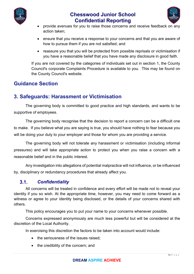



- provide avenues for you to raise those concerns and receive feedback on any action taken;
- ensure that you receive a response to your concerns and that you are aware of how to pursue them if you are not satisfied; and
- reassure you that you will be protected from possible reprisals or victimisation if you have a reasonable belief that you have made any disclosure in good faith.

If you are not covered by the categories of individuals set out in section 1, the County Council's corporate Complaints Procedure is available to you. This may be found on the County Council's website.

## **Guidance Section**

## **3. Safeguards: Harassment or Victimisation**

The governing body is committed to good practice and high standards, and wants to be supportive of employees.

The governing body recognise that the decision to report a concern can be a difficult one to make. If you believe what you are saying is true, you should have nothing to fear because you will be doing your duty to your employer and those for whom you are providing a service.

The governing body will not tolerate any harassment or victimisation (including informal pressures) and will take appropriate action to protect you when you raise a concern with a reasonable belief and in the public interest.

Any investigation into allegations of potential malpractice will not influence, or be influenced by, disciplinary or redundancy procedures that already affect you.

#### $3.1.$ *Confidentiality*

All concerns will be treated in confidence and every effort will be made not to reveal your identity if you so wish. At the appropriate time, however, you may need to come forward as a witness or agree to your identity being disclosed, or the details of your concerns shared with others.

This policy encourages you to put your name to your concerns whenever possible.

Concerns expressed anonymously are much less powerful but will be considered at the discretion of the Local Authority.

In exercising this discretion the factors to be taken into account would include:

- the seriousness of the issues raised:
- the credibility of the concern; and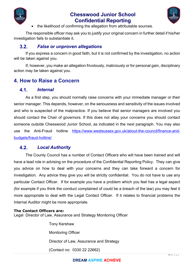



the likelihood of confirming the allegation from attributable sources.

The responsible officer may ask you to justify your original concern in further detail if his/her investigation fails to substantiate it.

#### $3.2.$ *False or unproven allegations*

If you express a concern in good faith, but it is not confirmed by the investigation, no action will be taken against you.

If, however, you make an allegation frivolously, maliciously or for personal gain, disciplinary action may be taken against you.

#### **4. How to Raise a Concern**

#### $4.1$ *Internal*

As a first step, you should normally raise concerns with your immediate manager or their senior manager. This depends, however, on the seriousness and sensitivity of the issues involved and who is suspected of the malpractice. If you believe that senior managers are involved you should contact the Chair of governors. If this does not allay your concerns you should contact someone outside Chesswood Junior School, as indicated in the next paragraph. You may also use the Anti-Fraud hotline https://www.westsussex.gov.uk/about-the-council/finance-andbudgets/fraud-hotline/

#### $4.2.$ *Local Authority*

The County Council has a number of Contact Officers who will have been trained and will have a lead role in advising on the procedure of the Confidential Reporting Policy. They can give you advice on how to deal with your concerns and they can take forward a concern for investigation. Any advice they give you will be strictly confidential. You do not have to use any particular Contact Officer. If for example you have a problem which you feel has a legal aspect (for example if you think the conduct complained of could be a breach of the law) you may feel it more appropriate to deal with the Legal Contact Officer. If it relates to financial problems the Internal Auditor might be more appropriate.

#### **The Contact Officers are:**

Legal Director of Law, Assurance and Strategy Monitoring Officer

Tony Kershaw Monitoring Officer Director of Law, Assurance and Strategy (Contact no: 0330 22 22662)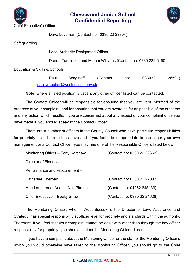



Dave Loveman (Contact no: 0330 22 28804)

Safeguarding

Local Authority Designated Officer

Donna Tomlinson and Miriam Williams (Contact no: 0330 222 6450 )

Education & Skills & Schools

Paul Wagstaff (Contact no: 033022 26591) paul.wagstaff@westsussex.gov.uk

**Note:** where a listed position is vacant any other Officer listed can be contacted.

The Contact Officer will be responsible for ensuring that you are kept informed of the progress of your complaint, and for ensuring that you are aware as far as possible of the outcome and any action which results. If you are concerned about any aspect of your complaint once you have made it, you should speak to the Contact Officer.

There are a number of officers in the County Council who have particular responsibilities for propriety in addition to the above and if you feel it is inappropriate to use either your own management or a Contact Officer, you may ring one of the Responsible Officers listed below:

| Monitoring Officer - Tony Kershaw    | (Contact no: 0330 22 22662) |
|--------------------------------------|-----------------------------|
| Director of Finance,                 |                             |
| Performance and Procurement –        |                             |
| Katharine Eberhart                   | (Contact no: 0330 22 22087) |
| Head of Internal Audit – Neil Pitman | (Contact no: 01962 845139)  |
| Chief Executive - Becky Shaw         | (Contact no: 0330 22 24628) |

The Monitoring Officer, who in West Sussex is the Director of Law, Assurance and Strategy, has special responsibility at officer level for propriety and standards within the authority. Therefore, if you feel that your complaint cannot be dealt with other than through the key officer responsibility for propriety, you should contact the Monitoring Officer direct.

If you have a complaint about the Monitoring Officer or the staff of the Monitoring Officer's which you would otherwise have taken to the Monitoring Officer, you should go to the Chief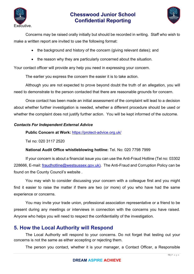



Concerns may be raised orally initially but should be recorded in writing. Staff who wish to make a written report are invited to use the following format:

- the background and history of the concern (giving relevant dates); and
- the reason why they are particularly concerned about the situation.

Your contact officer will provide any help you need in expressing your concern.

The earlier you express the concern the easier it is to take action.

Although you are not expected to prove beyond doubt the truth of an allegation, you will need to demonstrate to the person contacted that there are reasonable grounds for concern.

Once contact has been made an initial assessment of the complaint will lead to a decision about whether further investigation is needed, whether a different procedure should be used or whether the complaint does not justify further action. You will be kept informed of the outcome.

#### *Contacts For Independent External Advice*

**Public Concern at Work:** https://protect-advice.org.uk/

Tel no: 020 3117 2520

#### **National Audit Office whistleblowing hotline:** Tel. No: 020 7798 7999

If your concern is about a financial issue you can use the Anti-Fraud Hotline (Tel no: 03302 228666, E-mail: fraudhotline@westsussex.gov.uk). The Anti-Fraud and Corruption Policy can be found on the County Council's website .

You may wish to consider discussing your concern with a colleague first and you might find it easier to raise the matter if there are two (or more) of you who have had the same experience or concerns.

You may invite your trade union, professional association representative or a friend to be present during any meetings or interviews in connection with the concerns you have raised. Anyone who helps you will need to respect the confidentiality of the investigation.

#### **5. How the Local Authority will Respond**

The Local Authority will respond to your concerns. Do not forget that testing out your concerns is not the same as either accepting or rejecting them.

The person you contact, whether it is your manager, a Contact Officer, a Responsible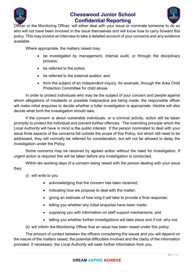



Officer or the Monitoring Officer, will either deal with your issue or nominate someone to do so who will not have been involved in the issue themselves and will know how to carry forward this policy. This may involve an interview to take a detailed account of your concerns and any evidence available.

Where appropriate, the matters raised may:

- be investigated by management, internal audit, or through the disciplinary process;
- be referred to the police;
- be referred to the external auditor; and
- form the subject of an independent inquiry, for example, through the Area Child Protection Committee for child abuse.

In order to protect individuals who may be the subject of your concern and people against whom allegations of misdeeds or possible malpractice are being made, the responsible officer will make initial enquiries to decide whether a fuller investigation is appropriate. He/she will also decide what form the investigation should take.

If the concern is about vulnerable individuals, or a criminal activity, action will be taken promptly to protect the individual and prevent further offences. The overriding principle which the Local Authority will have in mind is the public interest. If the person nominated to deal with your issue finds aspects of the concerns fall outside the scope of this Policy, but which still need to be addressed, they will normally be referred for consideration, but will not be allowed to delay the investigation under the Policy.

Some concerns may be resolved by agreed action without the need for investigation. If urgent action is required this will be taken before any investigation is conducted.

Within ten working days of a concern being raised with the person dealing with your issue they:

- (i) will write to you
	- acknowledging that the concern has been received;
	- indicating how we propose to deal with the matter;
	- giving an estimate of how long it will take to provide a final response;
	- telling you whether any initial enquiries have been made;
	- supplying you with information on staff support mechanisms; and
	- telling you whether further investigations will take place and if not, why not.

(ii) will inform the Monitoring Officer that an issue has been raised under this policy.

The amount of contact between the officers considering the issues and you will depend on the nature of the matters raised, the potential difficulties involved and the clarity of the information provided. If necessary, the Local Authority will seek further information from you.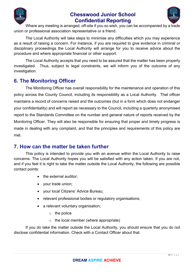



Where any meeting is arranged, off-site if you so wish, you can be accompanied by a trade union or professional association representative or a friend.

The Local Authority will take steps to minimise any difficulties which you may experience as a result of raising a concern. For instance, if you are required to give evidence in criminal or disciplinary proceedings the Local Authority will arrange for you to receive advice about the procedure and where appropriate financial or other support.

The Local Authority accepts that you need to be assured that the matter has been properly investigated. Thus, subject to legal constraints, we will inform you of the outcome of any investigation.

## **6. The Monitoring Officer**

The Monitoring Officer has overall responsibility for the maintenance and operation of this policy across the County Council, including its responsibility as a Local Authority. That officer maintains a record of concerns raised and the outcomes (but in a form which does not endanger your confidentiality) and will report as necessary to the Council, including a quarterly anonymised report to the Standards Committee on the number and general nature of reports received by the Monitoring Officer. They will also be responsible for ensuring that proper and timely progress is made in dealing with any complaint, and that the principles and requirements of this policy are met.

## **7. How can the matter be taken further**

This policy is intended to provide you with an avenue within the Local Authority to raise concerns. The Local Authority hopes you will be satisfied with any action taken. If you are not, and if you feel it is right to take the matter outside the Local Authority, the following are possible contact points:

- the external auditor:
- vour trade union;
- your local Citizens' Advice Bureau;
- relevant professional bodies or regulatory organisations;
- a relevant voluntary organisation;
	- $\circ$  the police
	- $\circ$  the local member (where appropriate)

If you do take the matter outside the Local Authority, you should ensure that you do not disclose confidential information. Check with a Contact Officer about that.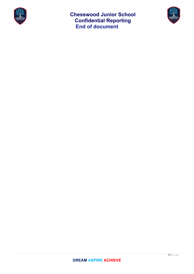

**Chesswood Junior School Confidential Reporting End of document** 

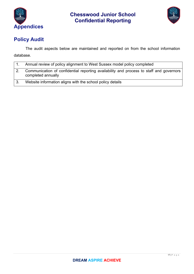



# **Policy Audit**

The audit aspects below are maintained and reported on from the school information database.

| Annual review of policy alignment to West Sussex model policy completed                                       |
|---------------------------------------------------------------------------------------------------------------|
| Communication of confidential reporting availability and process to staff and governors<br>completed annually |
| Website information aligns with the school policy details                                                     |